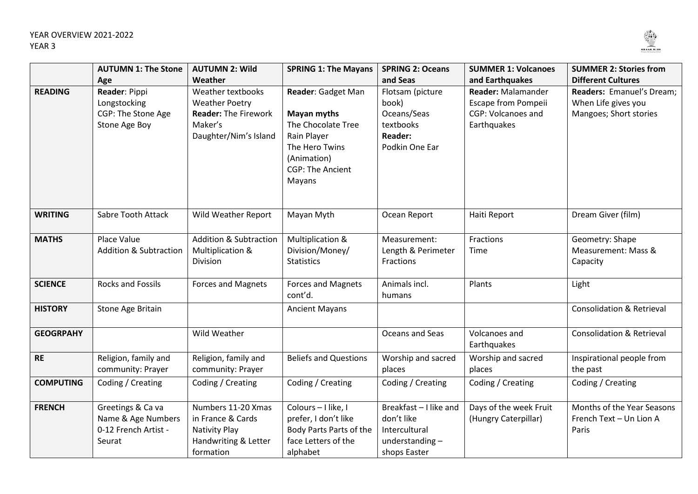

|                  | <b>AUTUMN 1: The Stone</b>                                                  | <b>AUTUMN 2: Wild</b>                                                                                                    | <b>SPRING 1: The Mayans</b>                                                                                                                  | <b>SPRING 2: Oceans</b>                                                                               | <b>SUMMER 1: Volcanoes</b>                                                                                      | <b>SUMMER 2: Stories from</b>                                                                           |
|------------------|-----------------------------------------------------------------------------|--------------------------------------------------------------------------------------------------------------------------|----------------------------------------------------------------------------------------------------------------------------------------------|-------------------------------------------------------------------------------------------------------|-----------------------------------------------------------------------------------------------------------------|---------------------------------------------------------------------------------------------------------|
| <b>READING</b>   | Age<br>Reader: Pippi<br>Longstocking<br>CGP: The Stone Age<br>Stone Age Boy | Weather<br>Weather textbooks<br><b>Weather Poetry</b><br><b>Reader: The Firework</b><br>Maker's<br>Daughter/Nim's Island | Reader: Gadget Man<br>Mayan myths<br>The Chocolate Tree<br>Rain Player<br>The Hero Twins<br>(Animation)<br><b>CGP: The Ancient</b><br>Mayans | and Seas<br>Flotsam (picture<br>book)<br>Oceans/Seas<br>textbooks<br><b>Reader:</b><br>Podkin One Ear | and Earthquakes<br><b>Reader: Malamander</b><br>Escape from Pompeii<br><b>CGP: Volcanoes and</b><br>Earthquakes | <b>Different Cultures</b><br>Readers: Emanuel's Dream;<br>When Life gives you<br>Mangoes; Short stories |
| <b>WRITING</b>   | Sabre Tooth Attack                                                          | Wild Weather Report                                                                                                      | Mayan Myth                                                                                                                                   | Ocean Report                                                                                          | Haiti Report                                                                                                    | Dream Giver (film)                                                                                      |
| <b>MATHS</b>     | Place Value<br><b>Addition &amp; Subtraction</b>                            | <b>Addition &amp; Subtraction</b><br>Multiplication &<br>Division                                                        | Multiplication &<br>Division/Money/<br><b>Statistics</b>                                                                                     | Measurement:<br>Length & Perimeter<br>Fractions                                                       | Fractions<br>Time                                                                                               | Geometry: Shape<br>Measurement: Mass &<br>Capacity                                                      |
| <b>SCIENCE</b>   | <b>Rocks and Fossils</b>                                                    | <b>Forces and Magnets</b>                                                                                                | <b>Forces and Magnets</b><br>cont'd.                                                                                                         | Animals incl.<br>humans                                                                               | Plants                                                                                                          | Light                                                                                                   |
| <b>HISTORY</b>   | Stone Age Britain                                                           |                                                                                                                          | <b>Ancient Mayans</b>                                                                                                                        |                                                                                                       |                                                                                                                 | <b>Consolidation &amp; Retrieval</b>                                                                    |
| <b>GEOGRPAHY</b> |                                                                             | Wild Weather                                                                                                             |                                                                                                                                              | Oceans and Seas                                                                                       | Volcanoes and<br>Earthquakes                                                                                    | <b>Consolidation &amp; Retrieval</b>                                                                    |
| <b>RE</b>        | Religion, family and<br>community: Prayer                                   | Religion, family and<br>community: Prayer                                                                                | <b>Beliefs and Questions</b>                                                                                                                 | Worship and sacred<br>places                                                                          | Worship and sacred<br>places                                                                                    | Inspirational people from<br>the past                                                                   |
| <b>COMPUTING</b> | Coding / Creating                                                           | Coding / Creating                                                                                                        | Coding / Creating                                                                                                                            | Coding / Creating                                                                                     | Coding / Creating                                                                                               | Coding / Creating                                                                                       |
| <b>FRENCH</b>    | Greetings & Ca va<br>Name & Age Numbers<br>0-12 French Artist -<br>Seurat   | Numbers 11-20 Xmas<br>in France & Cards<br><b>Nativity Play</b><br>Handwriting & Letter<br>formation                     | Colours - I like, I<br>prefer, I don't like<br>Body Parts Parts of the<br>face Letters of the<br>alphabet                                    | Breakfast - I like and<br>don't like<br>Intercultural<br>understanding-<br>shops Easter               | Days of the week Fruit<br>(Hungry Caterpillar)                                                                  | Months of the Year Seasons<br>French Text - Un Lion A<br>Paris                                          |